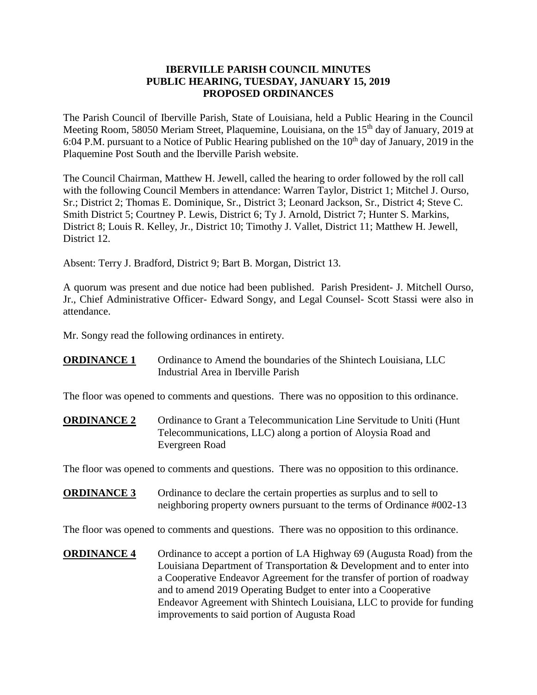## **IBERVILLE PARISH COUNCIL MINUTES PUBLIC HEARING, TUESDAY, JANUARY 15, 2019 PROPOSED ORDINANCES**

The Parish Council of Iberville Parish, State of Louisiana, held a Public Hearing in the Council Meeting Room, 58050 Meriam Street, Plaquemine, Louisiana, on the 15<sup>th</sup> day of January, 2019 at 6:04 P.M. pursuant to a Notice of Public Hearing published on the  $10<sup>th</sup>$  day of January, 2019 in the Plaquemine Post South and the Iberville Parish website.

The Council Chairman, Matthew H. Jewell, called the hearing to order followed by the roll call with the following Council Members in attendance: Warren Taylor, District 1; Mitchel J. Ourso, Sr.; District 2; Thomas E. Dominique, Sr., District 3; Leonard Jackson, Sr., District 4; Steve C. Smith District 5; Courtney P. Lewis, District 6; Ty J. Arnold, District 7; Hunter S. Markins, District 8; Louis R. Kelley, Jr., District 10; Timothy J. Vallet, District 11; Matthew H. Jewell, District 12.

Absent: Terry J. Bradford, District 9; Bart B. Morgan, District 13.

A quorum was present and due notice had been published. Parish President- J. Mitchell Ourso, Jr., Chief Administrative Officer- Edward Songy, and Legal Counsel- Scott Stassi were also in attendance.

Mr. Songy read the following ordinances in entirety.

**ORDINANCE 1** Ordinance to Amend the boundaries of the Shintech Louisiana, LLC Industrial Area in Iberville Parish

The floor was opened to comments and questions. There was no opposition to this ordinance.

**ORDINANCE 2** Ordinance to Grant a Telecommunication Line Servitude to Uniti (Hunt Telecommunications, LLC) along a portion of Aloysia Road and Evergreen Road

The floor was opened to comments and questions. There was no opposition to this ordinance.

**ORDINANCE 3** Ordinance to declare the certain properties as surplus and to sell to neighboring property owners pursuant to the terms of Ordinance #002-13

The floor was opened to comments and questions. There was no opposition to this ordinance.

**ORDINANCE 4** Ordinance to accept a portion of LA Highway 69 (Augusta Road) from the Louisiana Department of Transportation & Development and to enter into a Cooperative Endeavor Agreement for the transfer of portion of roadway and to amend 2019 Operating Budget to enter into a Cooperative Endeavor Agreement with Shintech Louisiana, LLC to provide for funding improvements to said portion of Augusta Road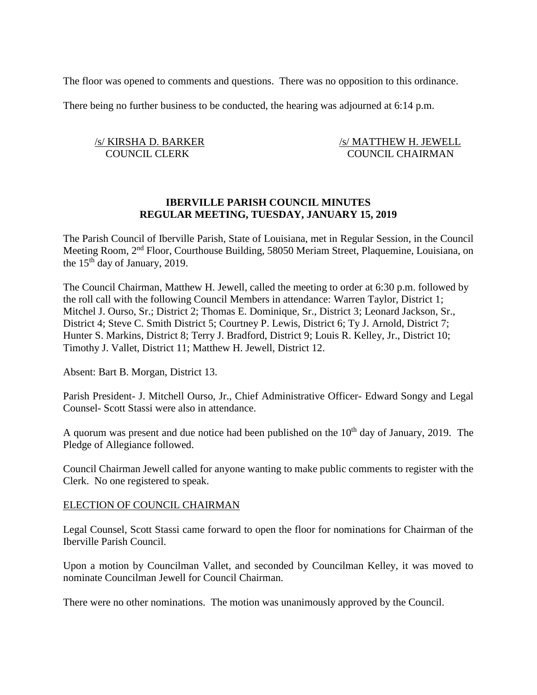The floor was opened to comments and questions. There was no opposition to this ordinance.

There being no further business to be conducted, the hearing was adjourned at 6:14 p.m.

/s/ KIRSHA D. BARKER /s/ MATTHEW H. JEWELL COUNCIL CLERK COUNCIL CHAIRMAN

# **IBERVILLE PARISH COUNCIL MINUTES REGULAR MEETING, TUESDAY, JANUARY 15, 2019**

The Parish Council of Iberville Parish, State of Louisiana, met in Regular Session, in the Council Meeting Room, 2nd Floor, Courthouse Building, 58050 Meriam Street, Plaquemine, Louisiana, on the  $15<sup>th</sup>$  day of January, 2019.

The Council Chairman, Matthew H. Jewell, called the meeting to order at 6:30 p.m. followed by the roll call with the following Council Members in attendance: Warren Taylor, District 1; Mitchel J. Ourso, Sr.; District 2; Thomas E. Dominique, Sr., District 3; Leonard Jackson, Sr., District 4; Steve C. Smith District 5; Courtney P. Lewis, District 6; Ty J. Arnold, District 7; Hunter S. Markins, District 8; Terry J. Bradford, District 9; Louis R. Kelley, Jr., District 10; Timothy J. Vallet, District 11; Matthew H. Jewell, District 12.

Absent: Bart B. Morgan, District 13.

Parish President- J. Mitchell Ourso, Jr., Chief Administrative Officer- Edward Songy and Legal Counsel- Scott Stassi were also in attendance.

A quorum was present and due notice had been published on the  $10<sup>th</sup>$  day of January, 2019. The Pledge of Allegiance followed.

Council Chairman Jewell called for anyone wanting to make public comments to register with the Clerk. No one registered to speak.

#### ELECTION OF COUNCIL CHAIRMAN

Legal Counsel, Scott Stassi came forward to open the floor for nominations for Chairman of the Iberville Parish Council.

Upon a motion by Councilman Vallet, and seconded by Councilman Kelley, it was moved to nominate Councilman Jewell for Council Chairman.

There were no other nominations. The motion was unanimously approved by the Council.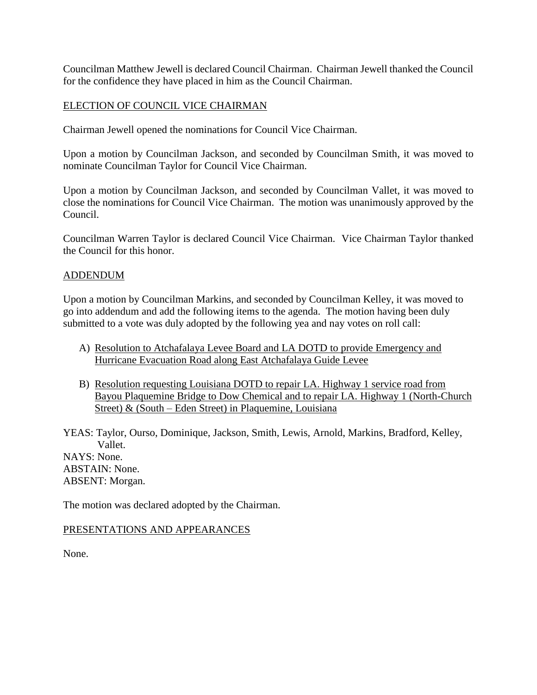Councilman Matthew Jewell is declared Council Chairman. Chairman Jewell thanked the Council for the confidence they have placed in him as the Council Chairman.

## ELECTION OF COUNCIL VICE CHAIRMAN

Chairman Jewell opened the nominations for Council Vice Chairman.

Upon a motion by Councilman Jackson, and seconded by Councilman Smith, it was moved to nominate Councilman Taylor for Council Vice Chairman.

Upon a motion by Councilman Jackson, and seconded by Councilman Vallet, it was moved to close the nominations for Council Vice Chairman. The motion was unanimously approved by the Council.

Councilman Warren Taylor is declared Council Vice Chairman. Vice Chairman Taylor thanked the Council for this honor.

## ADDENDUM

Upon a motion by Councilman Markins, and seconded by Councilman Kelley, it was moved to go into addendum and add the following items to the agenda. The motion having been duly submitted to a vote was duly adopted by the following yea and nay votes on roll call:

- A) Resolution to Atchafalaya Levee Board and LA DOTD to provide Emergency and Hurricane Evacuation Road along East Atchafalaya Guide Levee
- B) Resolution requesting Louisiana DOTD to repair LA. Highway 1 service road from Bayou Plaquemine Bridge to Dow Chemical and to repair LA. Highway 1 (North-Church Street) & (South – Eden Street) in Plaquemine, Louisiana

YEAS: Taylor, Ourso, Dominique, Jackson, Smith, Lewis, Arnold, Markins, Bradford, Kelley, Vallet. NAYS: None. ABSTAIN: None. ABSENT: Morgan.

The motion was declared adopted by the Chairman.

## PRESENTATIONS AND APPEARANCES

None.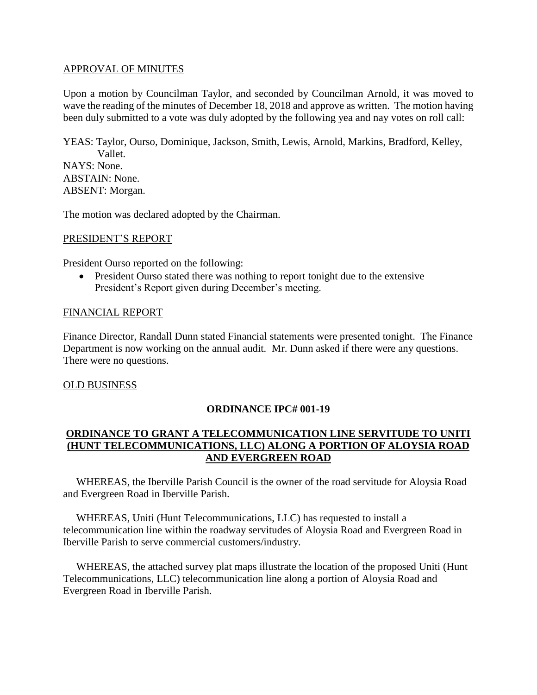### APPROVAL OF MINUTES

Upon a motion by Councilman Taylor, and seconded by Councilman Arnold, it was moved to wave the reading of the minutes of December 18, 2018 and approve as written. The motion having been duly submitted to a vote was duly adopted by the following yea and nay votes on roll call:

YEAS: Taylor, Ourso, Dominique, Jackson, Smith, Lewis, Arnold, Markins, Bradford, Kelley, Vallet. NAYS: None. ABSTAIN: None. ABSENT: Morgan.

The motion was declared adopted by the Chairman.

## PRESIDENT'S REPORT

President Ourso reported on the following:

• President Ourso stated there was nothing to report tonight due to the extensive President's Report given during December's meeting.

### FINANCIAL REPORT

Finance Director, Randall Dunn stated Financial statements were presented tonight. The Finance Department is now working on the annual audit. Mr. Dunn asked if there were any questions. There were no questions.

#### OLD BUSINESS

## **ORDINANCE IPC# 001-19**

# **ORDINANCE TO GRANT A TELECOMMUNICATION LINE SERVITUDE TO UNITI (HUNT TELECOMMUNICATIONS, LLC) ALONG A PORTION OF ALOYSIA ROAD AND EVERGREEN ROAD**

 WHEREAS, the Iberville Parish Council is the owner of the road servitude for Aloysia Road and Evergreen Road in Iberville Parish.

 WHEREAS, Uniti (Hunt Telecommunications, LLC) has requested to install a telecommunication line within the roadway servitudes of Aloysia Road and Evergreen Road in Iberville Parish to serve commercial customers/industry.

 WHEREAS, the attached survey plat maps illustrate the location of the proposed Uniti (Hunt Telecommunications, LLC) telecommunication line along a portion of Aloysia Road and Evergreen Road in Iberville Parish.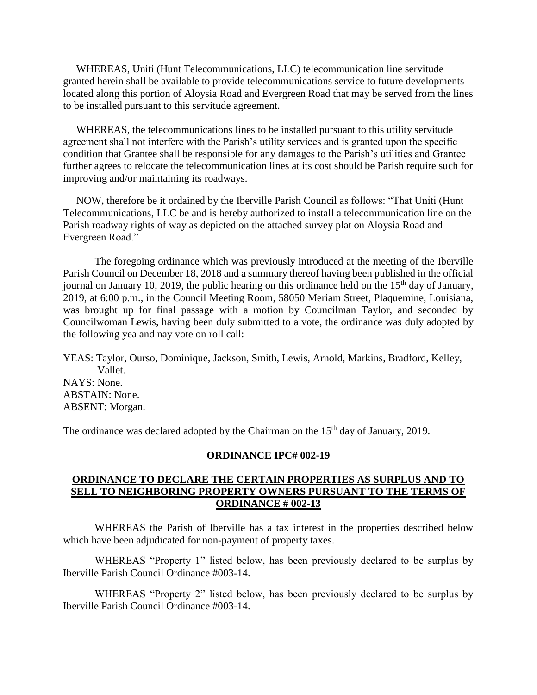WHEREAS, Uniti (Hunt Telecommunications, LLC) telecommunication line servitude granted herein shall be available to provide telecommunications service to future developments located along this portion of Aloysia Road and Evergreen Road that may be served from the lines to be installed pursuant to this servitude agreement.

 WHEREAS, the telecommunications lines to be installed pursuant to this utility servitude agreement shall not interfere with the Parish's utility services and is granted upon the specific condition that Grantee shall be responsible for any damages to the Parish's utilities and Grantee further agrees to relocate the telecommunication lines at its cost should be Parish require such for improving and/or maintaining its roadways.

 NOW, therefore be it ordained by the Iberville Parish Council as follows: "That Uniti (Hunt Telecommunications, LLC be and is hereby authorized to install a telecommunication line on the Parish roadway rights of way as depicted on the attached survey plat on Aloysia Road and Evergreen Road."

The foregoing ordinance which was previously introduced at the meeting of the Iberville Parish Council on December 18, 2018 and a summary thereof having been published in the official journal on January 10, 2019, the public hearing on this ordinance held on the  $15<sup>th</sup>$  day of January, 2019, at 6:00 p.m., in the Council Meeting Room, 58050 Meriam Street, Plaquemine, Louisiana, was brought up for final passage with a motion by Councilman Taylor, and seconded by Councilwoman Lewis, having been duly submitted to a vote, the ordinance was duly adopted by the following yea and nay vote on roll call:

YEAS: Taylor, Ourso, Dominique, Jackson, Smith, Lewis, Arnold, Markins, Bradford, Kelley, Vallet. NAYS: None. ABSTAIN: None. ABSENT: Morgan.

The ordinance was declared adopted by the Chairman on the  $15<sup>th</sup>$  day of January, 2019.

#### **ORDINANCE IPC# 002-19**

## **ORDINANCE TO DECLARE THE CERTAIN PROPERTIES AS SURPLUS AND TO SELL TO NEIGHBORING PROPERTY OWNERS PURSUANT TO THE TERMS OF ORDINANCE # 002-13**

WHEREAS the Parish of Iberville has a tax interest in the properties described below which have been adjudicated for non-payment of property taxes.

WHEREAS "Property 1" listed below, has been previously declared to be surplus by Iberville Parish Council Ordinance #003-14.

WHEREAS "Property 2" listed below, has been previously declared to be surplus by Iberville Parish Council Ordinance #003-14.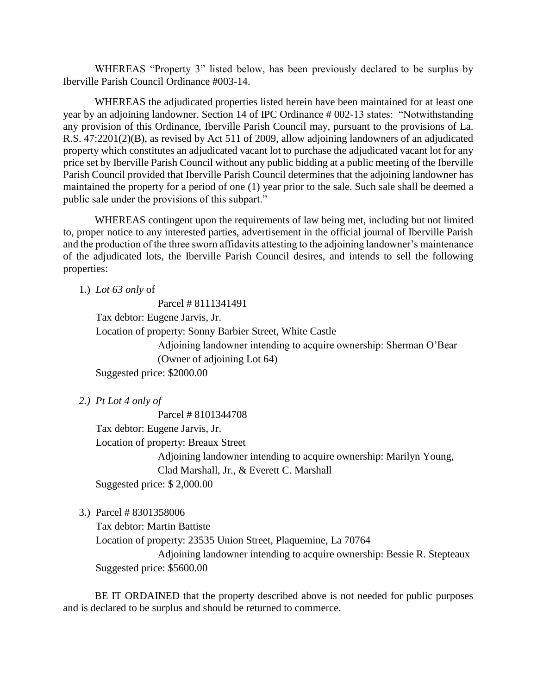WHEREAS "Property 3" listed below, has been previously declared to be surplus by Iberville Parish Council Ordinance #003-14.

WHEREAS the adjudicated properties listed herein have been maintained for at least one year by an adjoining landowner. Section 14 of IPC Ordinance # 002-13 states: "Notwithstanding any provision of this Ordinance, Iberville Parish Council may, pursuant to the provisions of La. R.S. 47:2201(2)(B), as revised by Act 511 of 2009, allow adjoining landowners of an adjudicated property which constitutes an adjudicated vacant lot to purchase the adjudicated vacant lot for any price set by Iberville Parish Council without any public bidding at a public meeting of the Iberville Parish Council provided that Iberville Parish Council determines that the adjoining landowner has maintained the property for a period of one (1) year prior to the sale. Such sale shall be deemed a public sale under the provisions of this subpart."

WHEREAS contingent upon the requirements of law being met, including but not limited to, proper notice to any interested parties, advertisement in the official journal of Iberville Parish and the production of the three sworn affidavits attesting to the adjoining landowner's maintenance of the adjudicated lots, the Iberville Parish Council desires, and intends to sell the following properties:

1.) *Lot 63 only* of

Parcel # 8111341491

Tax debtor: Eugene Jarvis, Jr.

Location of property: Sonny Barbier Street, White Castle

Adjoining landowner intending to acquire ownership: Sherman O'Bear (Owner of adjoining Lot 64)

Suggested price: \$2000.00

*2.) Pt Lot 4 only of*

Parcel # 8101344708

Tax debtor: Eugene Jarvis, Jr.

Location of property: Breaux Street

Adjoining landowner intending to acquire ownership: Marilyn Young, Clad Marshall, Jr., & Everett C. Marshall

Suggested price: \$ 2,000.00

3.) Parcel # 8301358006

Tax debtor: Martin Battiste

Location of property: 23535 Union Street, Plaquemine, La 70764

Adjoining landowner intending to acquire ownership: Bessie R. Stepteaux Suggested price: \$5600.00

BE IT ORDAINED that the property described above is not needed for public purposes and is declared to be surplus and should be returned to commerce.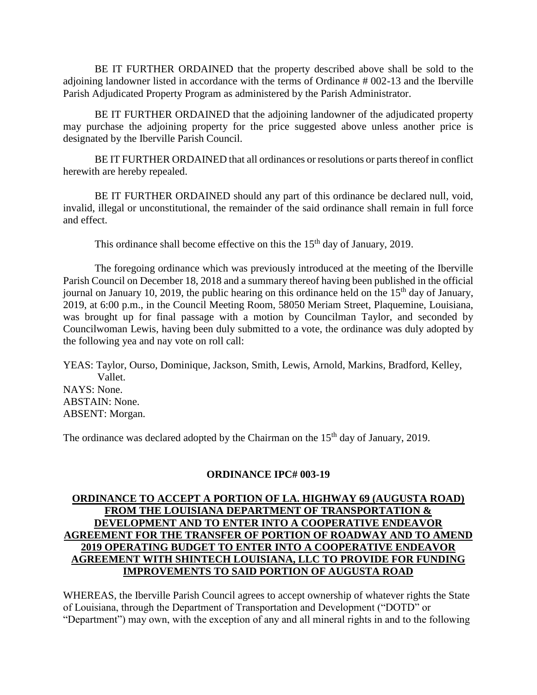BE IT FURTHER ORDAINED that the property described above shall be sold to the adjoining landowner listed in accordance with the terms of Ordinance # 002-13 and the Iberville Parish Adjudicated Property Program as administered by the Parish Administrator.

BE IT FURTHER ORDAINED that the adjoining landowner of the adjudicated property may purchase the adjoining property for the price suggested above unless another price is designated by the Iberville Parish Council.

BE IT FURTHER ORDAINED that all ordinances or resolutions or parts thereof in conflict herewith are hereby repealed.

BE IT FURTHER ORDAINED should any part of this ordinance be declared null, void, invalid, illegal or unconstitutional, the remainder of the said ordinance shall remain in full force and effect.

This ordinance shall become effective on this the  $15<sup>th</sup>$  day of January, 2019.

The foregoing ordinance which was previously introduced at the meeting of the Iberville Parish Council on December 18, 2018 and a summary thereof having been published in the official journal on January 10, 2019, the public hearing on this ordinance held on the 15<sup>th</sup> day of January, 2019, at 6:00 p.m., in the Council Meeting Room, 58050 Meriam Street, Plaquemine, Louisiana, was brought up for final passage with a motion by Councilman Taylor, and seconded by Councilwoman Lewis, having been duly submitted to a vote, the ordinance was duly adopted by the following yea and nay vote on roll call:

YEAS: Taylor, Ourso, Dominique, Jackson, Smith, Lewis, Arnold, Markins, Bradford, Kelley, Vallet. NAYS: None. ABSTAIN: None. ABSENT: Morgan.

The ordinance was declared adopted by the Chairman on the  $15<sup>th</sup>$  day of January, 2019.

## **ORDINANCE IPC# 003-19**

# **ORDINANCE TO ACCEPT A PORTION OF LA. HIGHWAY 69 (AUGUSTA ROAD) FROM THE LOUISIANA DEPARTMENT OF TRANSPORTATION & DEVELOPMENT AND TO ENTER INTO A COOPERATIVE ENDEAVOR AGREEMENT FOR THE TRANSFER OF PORTION OF ROADWAY AND TO AMEND 2019 OPERATING BUDGET TO ENTER INTO A COOPERATIVE ENDEAVOR AGREEMENT WITH SHINTECH LOUISIANA, LLC TO PROVIDE FOR FUNDING IMPROVEMENTS TO SAID PORTION OF AUGUSTA ROAD**

WHEREAS, the Iberville Parish Council agrees to accept ownership of whatever rights the State of Louisiana, through the Department of Transportation and Development ("DOTD" or "Department") may own, with the exception of any and all mineral rights in and to the following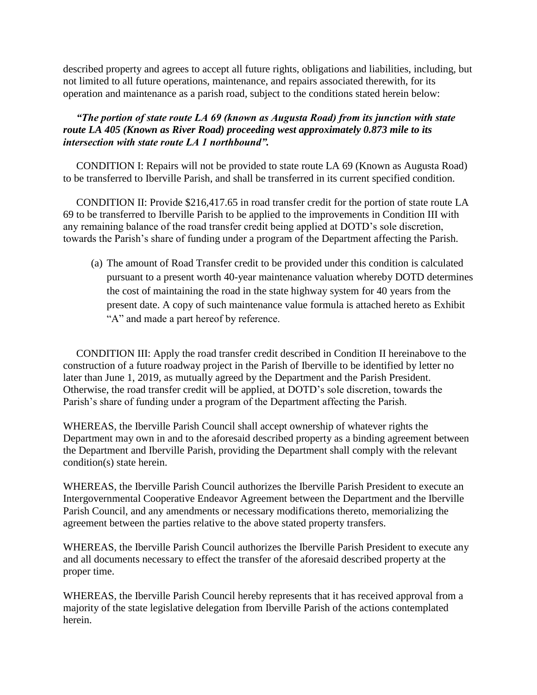described property and agrees to accept all future rights, obligations and liabilities, including, but not limited to all future operations, maintenance, and repairs associated therewith, for its operation and maintenance as a parish road, subject to the conditions stated herein below:

# *"The portion of state route LA 69 (known as Augusta Road) from its junction with state route LA 405 (Known as River Road) proceeding west approximately 0.873 mile to its intersection with state route LA 1 northbound".*

 CONDITION I: Repairs will not be provided to state route LA 69 (Known as Augusta Road) to be transferred to Iberville Parish, and shall be transferred in its current specified condition.

 CONDITION II: Provide \$216,417.65 in road transfer credit for the portion of state route LA 69 to be transferred to Iberville Parish to be applied to the improvements in Condition III with any remaining balance of the road transfer credit being applied at DOTD's sole discretion, towards the Parish's share of funding under a program of the Department affecting the Parish.

(a) The amount of Road Transfer credit to be provided under this condition is calculated pursuant to a present worth 40-year maintenance valuation whereby DOTD determines the cost of maintaining the road in the state highway system for 40 years from the present date. A copy of such maintenance value formula is attached hereto as Exhibit "A" and made a part hereof by reference.

 CONDITION III: Apply the road transfer credit described in Condition II hereinabove to the construction of a future roadway project in the Parish of Iberville to be identified by letter no later than June 1, 2019, as mutually agreed by the Department and the Parish President. Otherwise, the road transfer credit will be applied, at DOTD's sole discretion, towards the Parish's share of funding under a program of the Department affecting the Parish.

WHEREAS, the Iberville Parish Council shall accept ownership of whatever rights the Department may own in and to the aforesaid described property as a binding agreement between the Department and Iberville Parish, providing the Department shall comply with the relevant condition(s) state herein.

WHEREAS, the Iberville Parish Council authorizes the Iberville Parish President to execute an Intergovernmental Cooperative Endeavor Agreement between the Department and the Iberville Parish Council, and any amendments or necessary modifications thereto, memorializing the agreement between the parties relative to the above stated property transfers.

WHEREAS, the Iberville Parish Council authorizes the Iberville Parish President to execute any and all documents necessary to effect the transfer of the aforesaid described property at the proper time.

WHEREAS, the Iberville Parish Council hereby represents that it has received approval from a majority of the state legislative delegation from Iberville Parish of the actions contemplated herein.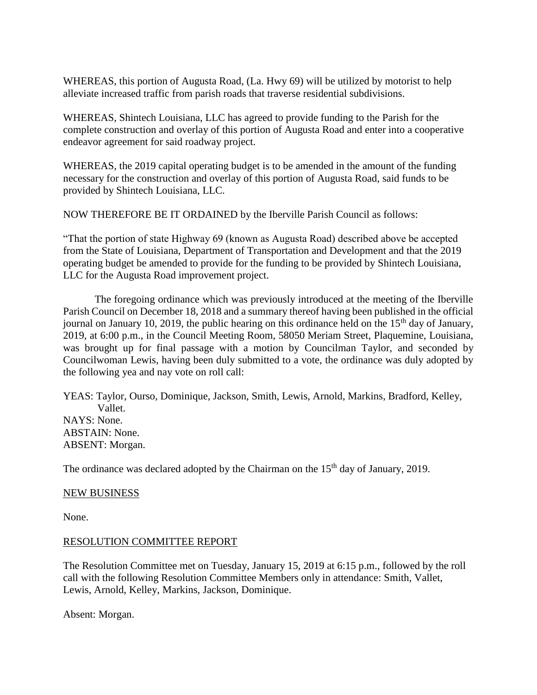WHEREAS, this portion of Augusta Road, (La. Hwy 69) will be utilized by motorist to help alleviate increased traffic from parish roads that traverse residential subdivisions.

WHEREAS, Shintech Louisiana, LLC has agreed to provide funding to the Parish for the complete construction and overlay of this portion of Augusta Road and enter into a cooperative endeavor agreement for said roadway project.

WHEREAS, the 2019 capital operating budget is to be amended in the amount of the funding necessary for the construction and overlay of this portion of Augusta Road, said funds to be provided by Shintech Louisiana, LLC.

NOW THEREFORE BE IT ORDAINED by the Iberville Parish Council as follows:

"That the portion of state Highway 69 (known as Augusta Road) described above be accepted from the State of Louisiana, Department of Transportation and Development and that the 2019 operating budget be amended to provide for the funding to be provided by Shintech Louisiana, LLC for the Augusta Road improvement project.

The foregoing ordinance which was previously introduced at the meeting of the Iberville Parish Council on December 18, 2018 and a summary thereof having been published in the official journal on January 10, 2019, the public hearing on this ordinance held on the  $15<sup>th</sup>$  day of January, 2019, at 6:00 p.m., in the Council Meeting Room, 58050 Meriam Street, Plaquemine, Louisiana, was brought up for final passage with a motion by Councilman Taylor, and seconded by Councilwoman Lewis, having been duly submitted to a vote, the ordinance was duly adopted by the following yea and nay vote on roll call:

YEAS: Taylor, Ourso, Dominique, Jackson, Smith, Lewis, Arnold, Markins, Bradford, Kelley, Vallet. NAYS: None. ABSTAIN: None. ABSENT: Morgan.

The ordinance was declared adopted by the Chairman on the  $15<sup>th</sup>$  day of January, 2019.

#### NEW BUSINESS

None.

#### RESOLUTION COMMITTEE REPORT

The Resolution Committee met on Tuesday, January 15, 2019 at 6:15 p.m., followed by the roll call with the following Resolution Committee Members only in attendance: Smith, Vallet, Lewis, Arnold, Kelley, Markins, Jackson, Dominique.

Absent: Morgan.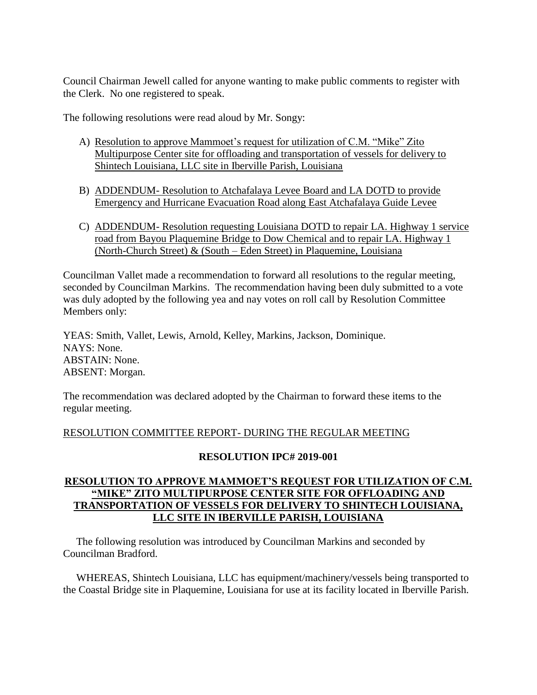Council Chairman Jewell called for anyone wanting to make public comments to register with the Clerk. No one registered to speak.

The following resolutions were read aloud by Mr. Songy:

- A) Resolution to approve Mammoet's request for utilization of C.M. "Mike" Zito Multipurpose Center site for offloading and transportation of vessels for delivery to Shintech Louisiana, LLC site in Iberville Parish, Louisiana
- B) ADDENDUM- Resolution to Atchafalaya Levee Board and LA DOTD to provide Emergency and Hurricane Evacuation Road along East Atchafalaya Guide Levee
- C) ADDENDUM- Resolution requesting Louisiana DOTD to repair LA. Highway 1 service road from Bayou Plaquemine Bridge to Dow Chemical and to repair LA. Highway 1 (North-Church Street) & (South – Eden Street) in Plaquemine, Louisiana

Councilman Vallet made a recommendation to forward all resolutions to the regular meeting, seconded by Councilman Markins. The recommendation having been duly submitted to a vote was duly adopted by the following yea and nay votes on roll call by Resolution Committee Members only:

YEAS: Smith, Vallet, Lewis, Arnold, Kelley, Markins, Jackson, Dominique. NAYS: None. ABSTAIN: None. ABSENT: Morgan.

The recommendation was declared adopted by the Chairman to forward these items to the regular meeting.

# RESOLUTION COMMITTEE REPORT- DURING THE REGULAR MEETING

## **RESOLUTION IPC# 2019-001**

# **RESOLUTION TO APPROVE MAMMOET'S REQUEST FOR UTILIZATION OF C.M. "MIKE" ZITO MULTIPURPOSE CENTER SITE FOR OFFLOADING AND TRANSPORTATION OF VESSELS FOR DELIVERY TO SHINTECH LOUISIANA, LLC SITE IN IBERVILLE PARISH, LOUISIANA**

 The following resolution was introduced by Councilman Markins and seconded by Councilman Bradford.

 WHEREAS, Shintech Louisiana, LLC has equipment/machinery/vessels being transported to the Coastal Bridge site in Plaquemine, Louisiana for use at its facility located in Iberville Parish.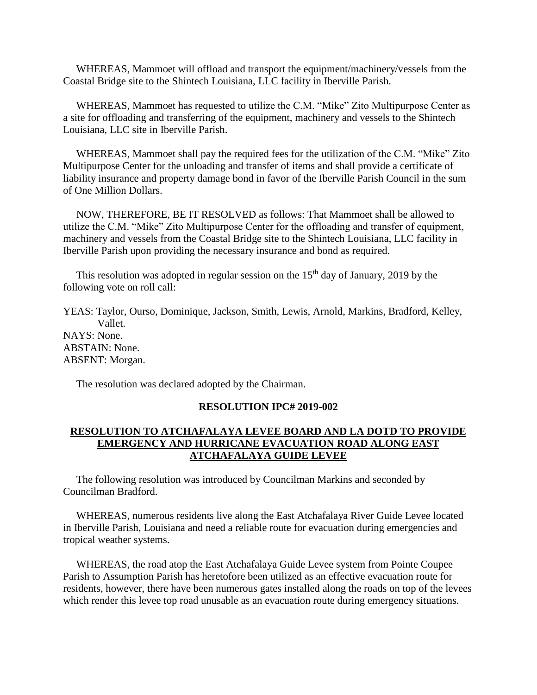WHEREAS, Mammoet will offload and transport the equipment/machinery/vessels from the Coastal Bridge site to the Shintech Louisiana, LLC facility in Iberville Parish.

 WHEREAS, Mammoet has requested to utilize the C.M. "Mike" Zito Multipurpose Center as a site for offloading and transferring of the equipment, machinery and vessels to the Shintech Louisiana, LLC site in Iberville Parish.

 WHEREAS, Mammoet shall pay the required fees for the utilization of the C.M. "Mike" Zito Multipurpose Center for the unloading and transfer of items and shall provide a certificate of liability insurance and property damage bond in favor of the Iberville Parish Council in the sum of One Million Dollars.

 NOW, THEREFORE, BE IT RESOLVED as follows: That Mammoet shall be allowed to utilize the C.M. "Mike" Zito Multipurpose Center for the offloading and transfer of equipment, machinery and vessels from the Coastal Bridge site to the Shintech Louisiana, LLC facility in Iberville Parish upon providing the necessary insurance and bond as required.

This resolution was adopted in regular session on the  $15<sup>th</sup>$  day of January, 2019 by the following vote on roll call:

YEAS: Taylor, Ourso, Dominique, Jackson, Smith, Lewis, Arnold, Markins, Bradford, Kelley, Vallet. NAYS: None. ABSTAIN: None. ABSENT: Morgan.

The resolution was declared adopted by the Chairman.

## **RESOLUTION IPC# 2019-002**

## **RESOLUTION TO ATCHAFALAYA LEVEE BOARD AND LA DOTD TO PROVIDE EMERGENCY AND HURRICANE EVACUATION ROAD ALONG EAST ATCHAFALAYA GUIDE LEVEE**

 The following resolution was introduced by Councilman Markins and seconded by Councilman Bradford.

 WHEREAS, numerous residents live along the East Atchafalaya River Guide Levee located in Iberville Parish, Louisiana and need a reliable route for evacuation during emergencies and tropical weather systems.

 WHEREAS, the road atop the East Atchafalaya Guide Levee system from Pointe Coupee Parish to Assumption Parish has heretofore been utilized as an effective evacuation route for residents, however, there have been numerous gates installed along the roads on top of the levees which render this levee top road unusable as an evacuation route during emergency situations.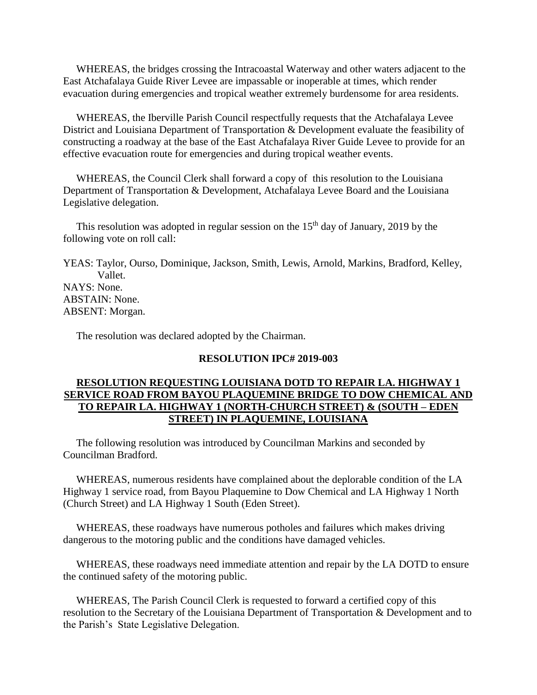WHEREAS, the bridges crossing the Intracoastal Waterway and other waters adjacent to the East Atchafalaya Guide River Levee are impassable or inoperable at times, which render evacuation during emergencies and tropical weather extremely burdensome for area residents.

 WHEREAS, the Iberville Parish Council respectfully requests that the Atchafalaya Levee District and Louisiana Department of Transportation & Development evaluate the feasibility of constructing a roadway at the base of the East Atchafalaya River Guide Levee to provide for an effective evacuation route for emergencies and during tropical weather events.

 WHEREAS, the Council Clerk shall forward a copy of this resolution to the Louisiana Department of Transportation & Development, Atchafalaya Levee Board and the Louisiana Legislative delegation.

This resolution was adopted in regular session on the  $15<sup>th</sup>$  day of January, 2019 by the following vote on roll call:

YEAS: Taylor, Ourso, Dominique, Jackson, Smith, Lewis, Arnold, Markins, Bradford, Kelley, Vallet. NAYS: None. ABSTAIN: None. ABSENT: Morgan.

The resolution was declared adopted by the Chairman.

### **RESOLUTION IPC# 2019-003**

## **RESOLUTION REQUESTING LOUISIANA DOTD TO REPAIR LA. HIGHWAY 1 SERVICE ROAD FROM BAYOU PLAQUEMINE BRIDGE TO DOW CHEMICAL AND TO REPAIR LA. HIGHWAY 1 (NORTH-CHURCH STREET) & (SOUTH – EDEN STREET) IN PLAQUEMINE, LOUISIANA**

 The following resolution was introduced by Councilman Markins and seconded by Councilman Bradford.

 WHEREAS, numerous residents have complained about the deplorable condition of the LA Highway 1 service road, from Bayou Plaquemine to Dow Chemical and LA Highway 1 North (Church Street) and LA Highway 1 South (Eden Street).

 WHEREAS, these roadways have numerous potholes and failures which makes driving dangerous to the motoring public and the conditions have damaged vehicles.

 WHEREAS, these roadways need immediate attention and repair by the LA DOTD to ensure the continued safety of the motoring public.

 WHEREAS, The Parish Council Clerk is requested to forward a certified copy of this resolution to the Secretary of the Louisiana Department of Transportation & Development and to the Parish's State Legislative Delegation.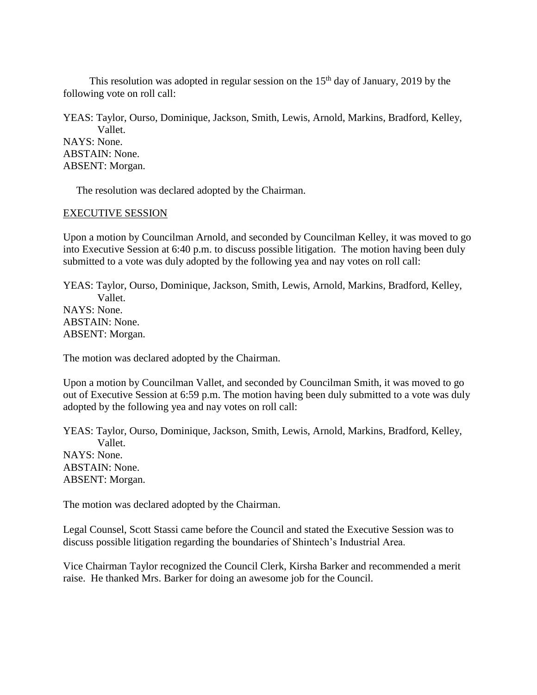This resolution was adopted in regular session on the  $15<sup>th</sup>$  day of January, 2019 by the following vote on roll call:

YEAS: Taylor, Ourso, Dominique, Jackson, Smith, Lewis, Arnold, Markins, Bradford, Kelley, Vallet. NAYS: None. ABSTAIN: None. ABSENT: Morgan.

The resolution was declared adopted by the Chairman.

### EXECUTIVE SESSION

Upon a motion by Councilman Arnold, and seconded by Councilman Kelley, it was moved to go into Executive Session at 6:40 p.m. to discuss possible litigation. The motion having been duly submitted to a vote was duly adopted by the following yea and nay votes on roll call:

YEAS: Taylor, Ourso, Dominique, Jackson, Smith, Lewis, Arnold, Markins, Bradford, Kelley, Vallet. NAYS: None. ABSTAIN: None. ABSENT: Morgan.

The motion was declared adopted by the Chairman.

Upon a motion by Councilman Vallet, and seconded by Councilman Smith, it was moved to go out of Executive Session at 6:59 p.m. The motion having been duly submitted to a vote was duly adopted by the following yea and nay votes on roll call:

YEAS: Taylor, Ourso, Dominique, Jackson, Smith, Lewis, Arnold, Markins, Bradford, Kelley, Vallet. NAYS: None. ABSTAIN: None. ABSENT: Morgan.

The motion was declared adopted by the Chairman.

Legal Counsel, Scott Stassi came before the Council and stated the Executive Session was to discuss possible litigation regarding the boundaries of Shintech's Industrial Area.

Vice Chairman Taylor recognized the Council Clerk, Kirsha Barker and recommended a merit raise. He thanked Mrs. Barker for doing an awesome job for the Council.